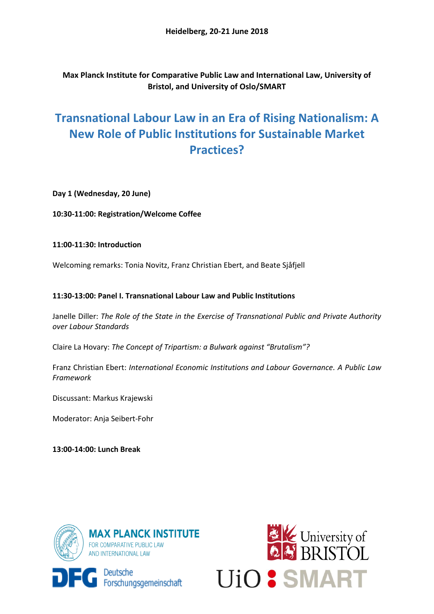**Max Planck Institute for Comparative Public Law and International Law, University of Bristol, and University of Oslo/SMART**

# **Transnational Labour Law in an Era of Rising Nationalism: A New Role of Public Institutions for Sustainable Market Practices?**

**Day 1 (Wednesday, 20 June)**

**10:30-11:00: Registration/Welcome Coffee**

## **11:00-11:30: Introduction**

Welcoming remarks: Tonia Novitz, Franz Christian Ebert, and Beate Sjåfjell

# **11:30-13:00: Panel I. Transnational Labour Law and Public Institutions**

Janelle Diller: *The Role of the State in the Exercise of Transnational Public and Private Authority over Labour Standards*

Claire La Hovary: *The Concept of Tripartism: a Bulwark against "Brutalism"?*

Franz Christian Ebert: *International Economic Institutions and Labour Governance. A Public Law Framework*

Discussant: Markus Krajewski

Moderator: Anja Seibert-Fohr

**13:00-14:00: Lunch Break**



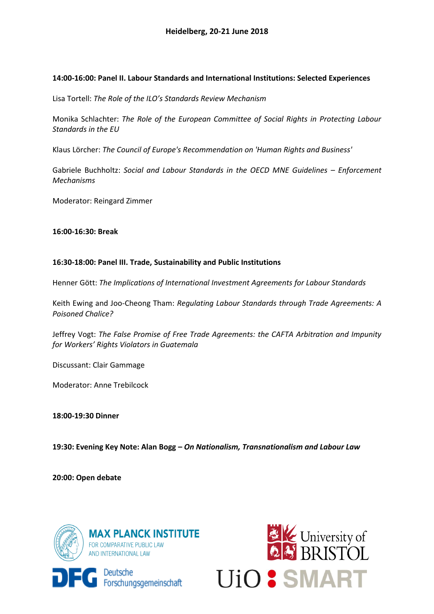## **14:00-16:00: Panel II. Labour Standards and International Institutions: Selected Experiences**

Lisa Tortell: *The Role of the ILO's Standards Review Mechanism*

Monika Schlachter: *The Role of the European Committee of Social Rights in Protecting Labour Standards in the EU*

Klaus Lörcher: *The Council of Europe's Recommendation on 'Human Rights and Business'*

Gabriele Buchholtz: *Social and Labour Standards in the OECD MNE Guidelines – Enforcement Mechanisms*

Moderator: Reingard Zimmer

### **16:00-16:30: Break**

### **16:30-18:00: Panel III. Trade, Sustainability and Public Institutions**

Henner Gött: *The Implications of International Investment Agreements for Labour Standards* 

Keith Ewing and Joo-Cheong Tham: *Regulating Labour Standards through Trade Agreements: A Poisoned Chalice?*

Jeffrey Vogt: *The False Promise of Free Trade Agreements: the CAFTA Arbitration and Impunity for Workers' Rights Violators in Guatemala*

Discussant: Clair Gammage

Moderator: Anne Trebilcock

**18:00-19:30 Dinner**

**19:30: Evening Key Note: Alan Bogg –** *On Nationalism, Transnationalism and Labour Law* 

**20:00: Open debate**



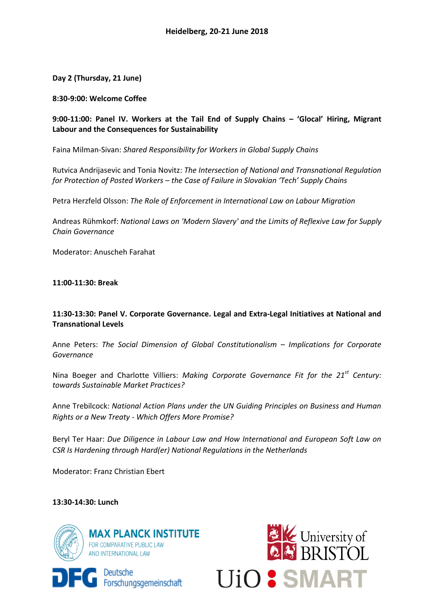**Day 2 (Thursday, 21 June)**

**8:30-9:00: Welcome Coffee**

**9:00-11:00: Panel IV. Workers at the Tail End of Supply Chains – 'Glocal' Hiring, Migrant Labour and the Consequences for Sustainability** 

Faina Milman-Sivan: *Shared Responsibility for Workers in Global Supply Chains*

Rutvica Andrijasevic and Tonia Novitz: *The Intersection of National and Transnational Regulation for Protection of Posted Workers – the Case of Failure in Slovakian 'Tech' Supply Chains*

Petra Herzfeld Olsson: *The Role of Enforcement in International Law on Labour Migration* 

Andreas Rühmkorf: *National Laws on 'Modern Slavery' and the Limits of Reflexive Law for Supply Chain Governance*

Moderator: Anuscheh Farahat

**11:00-11:30: Break**

# **11:30-13:30: Panel V. Corporate Governance. Legal and Extra-Legal Initiatives at National and Transnational Levels**

Anne Peters: *The Social Dimension of Global Constitutionalism – Implications for Corporate Governance* 

Nina Boeger and Charlotte Villiers: *Making Corporate Governance Fit for the 21st Century: towards Sustainable Market Practices?*

Anne Trebilcock: *National Action Plans under the UN Guiding Principles on Business and Human Rights or a New Treaty - Which Offers More Promise?*

Beryl Ter Haar: *Due Diligence in Labour Law and How International and European Soft Law on CSR Is Hardening through Hard(er) National Regulations in the Netherlands*

Moderator: Franz Christian Ebert

## **13:30-14:30: Lunch**





**EC**Deutsche<br> **EC** Forschungsgemeinschaft